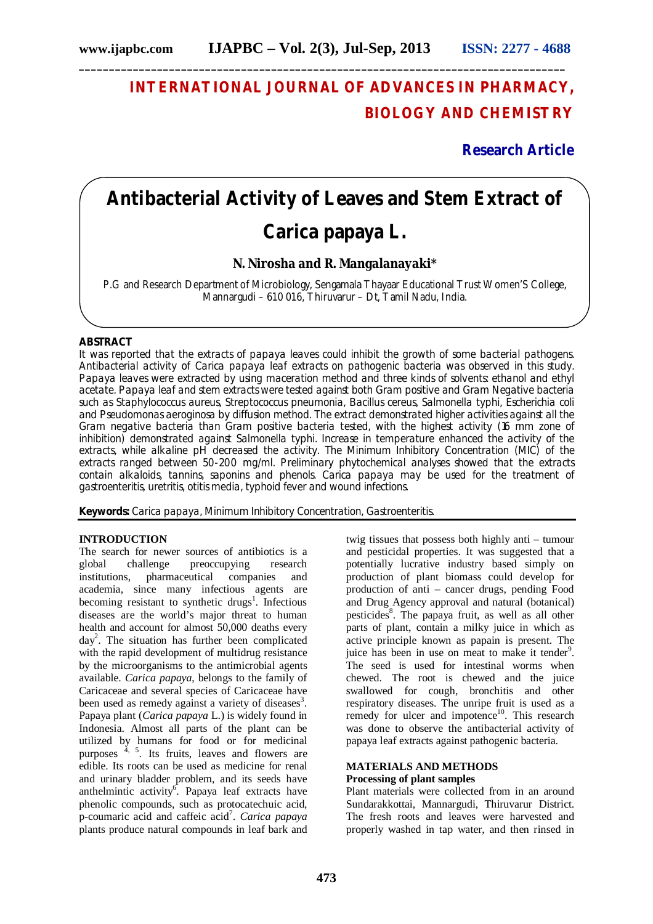**\_\_\_\_\_\_\_\_\_\_\_\_\_\_\_\_\_\_\_\_\_\_\_\_\_\_\_\_\_\_\_\_\_\_\_\_\_\_\_\_\_\_\_\_\_\_\_\_\_\_\_\_\_\_\_\_\_\_\_\_\_\_\_\_\_\_\_\_\_\_\_\_\_\_\_\_\_\_\_\_\_**

## **INTERNATIONAL JOURNAL OF ADVANCES IN PHARMACY, BIOLOGY AND CHEMISTRY**

**Research Article**

# **Antibacterial Activity of Leaves and Stem Extract of**  *Carica papaya* **L.**

### **N. Nirosha and R. Mangalanayaki\***

P.G and Research Department of Microbiology, Sengamala Thayaar Educational Trust Women'S College, Mannargudi – 610 016, Thiruvarur – Dt, Tamil Nadu, India.

#### **ABSTRACT**

It was reported that the extracts of papaya leaves could inhibit the growth of some bacterial pathogens. Antibacterial activity of *Carica papaya* leaf extracts on pathogenic bacteria was observed in this study. Papaya leaves were extracted by using maceration method and three kinds of solvents: ethanol and ethyl acetate. Papaya leaf and stem extracts were tested against both Gram positive and Gram Negative bacteria such as *Staphylococcus aureus, Streptococcus pneumonia, Bacillus cereus, Salmonella typhi, Escherichia coli*  and *Pseudomonas aeroginosa* by diffusion method. The extract demonstrated higher activities against all the Gram negative bacteria than Gram positive bacteria tested, with the highest activity (16 mm zone of inhibition) demonstrated against *Salmonella typhi*. Increase in temperature enhanced the activity of the extracts, while alkaline pH decreased the activity. The Minimum Inhibitory Concentration (MIC) of the extracts ranged between 50-200 mg/ml. Preliminary phytochemical analyses showed that the extracts contain alkaloids, tannins, saponins and phenols. *Carica papaya* may be used for the treatment of gastroenteritis, uretritis, otitis media, typhoid fever and wound infections.

**Keywords:** *Carica papaya*, Minimum Inhibitory Concentration, Gastroenteritis.

#### **INTRODUCTION**

The search for newer sources of antibiotics is a global challenge preoccupying research challenge preoccupying research institutions, pharmaceutical companies and academia, since many infectious agents are becoming resistant to synthetic drugs<sup>1</sup>. Infectious diseases are the world's major threat to human health and account for almost 50,000 deaths every day<sup>2</sup> . The situation has further been complicated with the rapid development of multidrug resistance by the microorganisms to the antimicrobial agents available. *Carica papaya*, belongs to the family of Caricaceae and several species of Caricaceae have been used as remedy against a variety of diseases<sup>3</sup>. Papaya plant (*Carica papaya* L.) is widely found in Indonesia. Almost all parts of the plant can be utilized by humans for food or for medicinal purposes  $\frac{4}{7}$ ,  $\frac{5}{7}$ . Its fruits, leaves and flowers are edible. Its roots can be used as medicine for renal and urinary bladder problem, and its seeds have anthelmintic activity<sup>6</sup>. Papaya leaf extracts have phenolic compounds, such as protocatechuic acid, p-coumaric acid and caffeic acid<sup>7</sup>. Carica papaya plants produce natural compounds in leaf bark and

twig tissues that possess both highly anti – tumour and pesticidal properties. It was suggested that a potentially lucrative industry based simply on production of plant biomass could develop for production of anti – cancer drugs, pending Food and Drug Agency approval and natural (botanical) pesticides<sup>8</sup>. The papaya fruit, as well as all other parts of plant, contain a milky juice in which as active principle known as papain is present. The juice has been in use on meat to make it tender<sup>9</sup>. The seed is used for intestinal worms when chewed. The root is chewed and the juice swallowed for cough, bronchitis and other respiratory diseases. The unripe fruit is used as a remedy for ulcer and impotence<sup>10</sup>. This research was done to observe the antibacterial activity of papaya leaf extracts against pathogenic bacteria.

#### **MATERIALS AND METHODS Processing of plant samples**

Plant materials were collected from in an around Sundarakkottai, Mannargudi, Thiruvarur District. The fresh roots and leaves were harvested and properly washed in tap water, and then rinsed in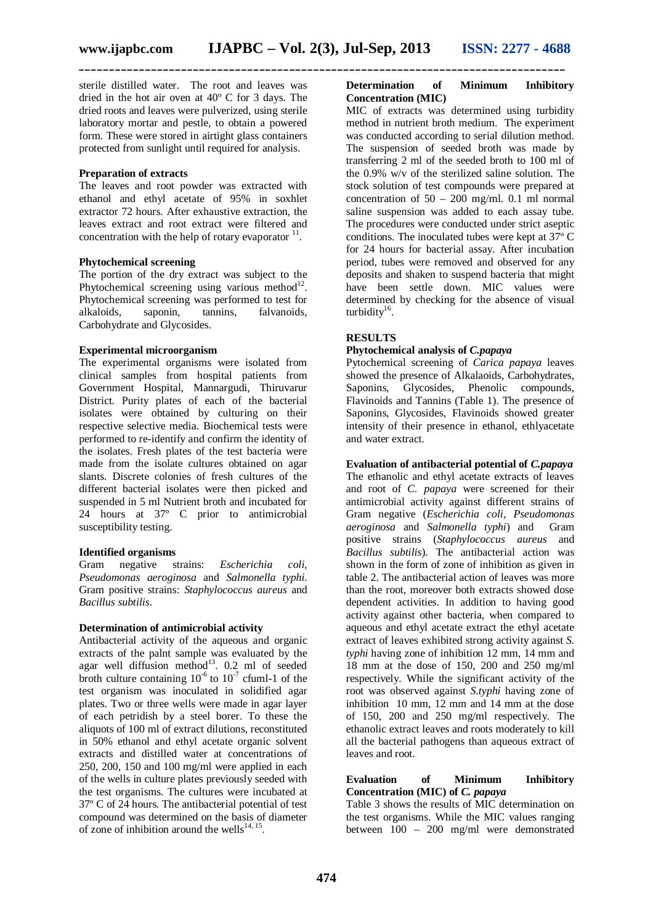sterile distilled water. The root and leaves was dried in the hot air oven at 40º C for 3 days. The dried roots and leaves were pulverized, using sterile laboratory mortar and pestle, to obtain a powered form. These were stored in airtight glass containers protected from sunlight until required for analysis.

#### **Preparation of extracts**

The leaves and root powder was extracted with ethanol and ethyl acetate of 95% in soxhlet extractor 72 hours. After exhaustive extraction, the leaves extract and root extract were filtered and concentration with the help of rotary evaporator  $11$ .

#### **Phytochemical screening**

The portion of the dry extract was subject to the Phytochemical screening using various method $^{12}$ . Phytochemical screening was performed to test for alkaloids, saponin, tannins, falvanoids, falvanoids, Carbohydrate and Glycosides.

#### **Experimental microorganism**

The experimental organisms were isolated from clinical samples from hospital patients from Government Hospital, Mannargudi, Thiruvarur District. Purity plates of each of the bacterial isolates were obtained by culturing on their respective selective media. Biochemical tests were performed to re-identify and confirm the identity of the isolates. Fresh plates of the test bacteria were made from the isolate cultures obtained on agar slants. Discrete colonies of fresh cultures of the different bacterial isolates were then picked and suspended in 5 ml Nutrient broth and incubated for 24 hours at 37º C prior to antimicrobial susceptibility testing.

**Identified organisms**<br>Gram **negative** strains: Gram negative strains: *Escherichia coli, Pseudomonas aeroginosa* and *Salmonella typhi*. Gram positive strains: *Staphylococcus aureus* and *Bacillus subtilis*.

#### **Determination of antimicrobial activity**

Antibacterial activity of the aqueous and organic extracts of the palnt sample was evaluated by the agar well diffusion method<sup>13</sup>. 0.2 ml of seeded broth culture containing  $10^{-6}$  to  $10^{-7}$  cfuml-1 of the test organism was inoculated in solidified agar plates. Two or three wells were made in agar layer of each petridish by a steel borer. To these the aliquots of 100 ml of extract dilutions, reconstituted in 50% ethanol and ethyl acetate organic solvent extracts and distilled water at concentrations of 250, 200, 150 and 100 mg/ml were applied in each of the wells in culture plates previously seeded with the test organisms. The cultures were incubated at 37º C of 24 hours. The antibacterial potential of test compound was determined on the basis of diameter of zone of inhibition around the wells<sup>14, 15</sup>.

#### **Determination of Minimum Inhibitory Concentration (MIC)**

MIC of extracts was determined using turbidity method in nutrient broth medium. The experiment was conducted according to serial dilution method. The suspension of seeded broth was made by transferring 2 ml of the seeded broth to 100 ml of the 0.9% w/v of the sterilized saline solution. The stock solution of test compounds were prepared at concentration of  $50 - 200$  mg/ml. 0.1 ml normal saline suspension was added to each assay tube. The procedures were conducted under strict aseptic conditions. The inoculated tubes were kept at 37º C for 24 hours for bacterial assay. After incubation period, tubes were removed and observed for any deposits and shaken to suspend bacteria that might have been settle down. MIC values were determined by checking for the absence of visual turbidity<sup>16</sup>.

#### **RESULTS**

#### **Phytochemical analysis of** *C.papaya*

Pytochemical screening of *Carica papaya* leaves showed the presence of Alkalaoids, Carbohydrates, Saponins, Glycosides, Phenolic compounds, Flavinoids and Tannins (Table 1). The presence of Saponins, Glycosides, Flavinoids showed greater intensity of their presence in ethanol, ethlyacetate and water extract.

#### **Evaluation of antibacterial potential of** *C.papaya*

The ethanolic and ethyl acetate extracts of leaves and root of *C. papaya* were screened for their antimicrobial activity against different strains of Gram negative (*Escherichia coli, Pseudomonas aeroginosa* and *Salmonella typhi*) and Gram positive strains (*Staphylococcus aureus* and *Bacillus subtilis*). The antibacterial action was shown in the form of zone of inhibition as given in table 2. The antibacterial action of leaves was more than the root, moreover both extracts showed dose dependent activities. In addition to having good activity against other bacteria, when compared to aqueous and ethyl acetate extract the ethyl acetate extract of leaves exhibited strong activity against *S. typhi* having zone of inhibition 12 mm, 14 mm and 18 mm at the dose of 150, 200 and 250 mg/ml respectively. While the significant activity of the root was observed against *S.typhi* having zone of inhibition 10 mm, 12 mm and 14 mm at the dose of 150, 200 and 250 mg/ml respectively. The ethanolic extract leaves and roots moderately to kill all the bacterial pathogens than aqueous extract of leaves and root.

#### **Evaluation of Minimum Inhibitory Concentration (MIC) of** *C. papaya*

Table 3 shows the results of MIC determination on the test organisms. While the MIC values ranging between 100 – 200 mg/ml were demonstrated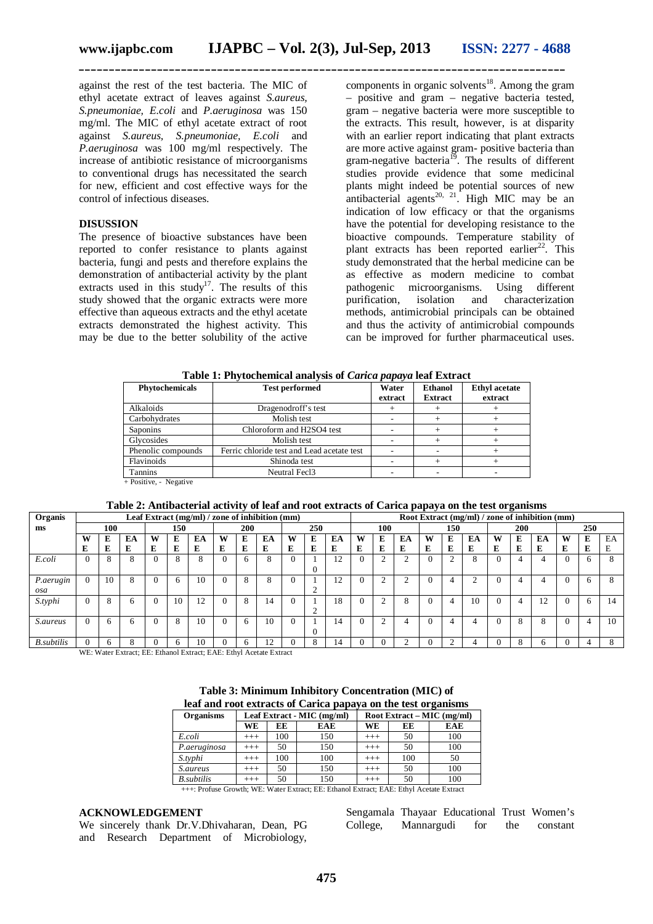against the rest of the test bacteria. The MIC of ethyl acetate extract of leaves against *S.aureus, S.pneumoniae, E.coli* and *P.aeruginosa* was 150 mg/ml. The MIC of ethyl acetate extract of root against *S.aureus, S.pneumoniae, E.coli* and *P.aeruginosa* was 100 mg/ml respectively. The increase of antibiotic resistance of microorganisms to conventional drugs has necessitated the search for new, efficient and cost effective ways for the control of infectious diseases.

#### **DISUSSION**

The presence of bioactive substances have been reported to confer resistance to plants against bacteria, fungi and pests and therefore explains the demonstration of antibacterial activity by the plant extracts used in this study<sup>17</sup>. The results of this study showed that the organic extracts were more effective than aqueous extracts and the ethyl acetate extracts demonstrated the highest activity. This may be due to the better solubility of the active

components in organic solvents $18$ . Among the gram – positive and gram – negative bacteria tested, gram – negative bacteria were more susceptible to the extracts. This result, however, is at disparity with an earlier report indicating that plant extracts are more active against gram- positive bacteria than gram-negative bacteria<sup>19</sup>. The results of different studies provide evidence that some medicinal plants might indeed be potential sources of new antibacterial agents<sup>20, 21</sup>. High MIC may be an indication of low efficacy or that the organisms have the potential for developing resistance to the bioactive compounds. Temperature stability of plant extracts has been reported earlier<sup>22</sup>. This study demonstrated that the herbal medicine can be as effective as modern medicine to combat<br>
nathogenic microorganisms. Using different pathogenic microorganisms. purification, isolation and characterization methods, antimicrobial principals can be obtained and thus the activity of antimicrobial compounds can be improved for further pharmaceutical uses.

| Table 1: Phytochemical analysis of <i>Carica papaya</i> leaf Extract |  |  |
|----------------------------------------------------------------------|--|--|
|----------------------------------------------------------------------|--|--|

| Phytochemicals          | <b>Test performed</b>                      | Water<br>extract | <b>Ethanol</b><br><b>Extract</b> | <b>Ethyl</b> acetate<br>extract |
|-------------------------|--------------------------------------------|------------------|----------------------------------|---------------------------------|
| Alkaloids               | Dragenodroff's test                        |                  |                                  |                                 |
| Carbohydrates           | Molish test                                |                  |                                  |                                 |
| <b>Saponins</b>         | Chloroform and H2SO4 test                  |                  |                                  |                                 |
| Glycosides              | Molish test                                |                  |                                  |                                 |
| Phenolic compounds      | Ferric chloride test and Lead acetate test |                  |                                  |                                 |
| Flavinoids              | Shinoda test                               |                  |                                  |                                 |
| Tannins                 | Neutral Fec13                              |                  |                                  |                                 |
| $+$ Positive - Negative |                                            |                  |                                  |                                 |

+ Positive, - Negative

**Table 2: Antibacterial activity of leaf and root extracts of Carica papaya on the test organisms**

| Organis            | Leaf Extract (mg/ml) / zone of inhibition (mm) |    |                     |   |        |    |                                                  |              |    | Root Extract (mg/ml) / zone of inhibition (mm) |          |    |            |        |    |     |   |        |          |   |    |   |    |    |
|--------------------|------------------------------------------------|----|---------------------|---|--------|----|--------------------------------------------------|--------------|----|------------------------------------------------|----------|----|------------|--------|----|-----|---|--------|----------|---|----|---|----|----|
| 100<br>150<br>ms   |                                                |    | <b>200</b><br>250   |   |        |    | 100                                              |              |    | 150                                            |          |    | <b>200</b> |        |    | 250 |   |        |          |   |    |   |    |    |
|                    | W                                              | E  | EA                  | w | E      | EA | W                                                | E            | EA | W                                              | E        | EA | W          | E      | EA | W   | E | EA     | W        | E | EA | W | E  | EA |
|                    | E                                              | Е  | E                   | E | E      | E  | E                                                | E            | Е  | E                                              | Е        | E  | E          | E      | E  | E   | Е | E      | E        | E | E  | E | E  | Е  |
| E.coli             |                                                | 8  | $\circ$<br>Y.       |   | 8      | 8  | $\Omega$                                         | <sub>6</sub> | 8  |                                                | 0        | 12 | $\theta$   |        |    |     |   | 8      | $\Omega$ | 4 |    |   | 'n | 8  |
| P.aerugin<br>osa   | $\Omega$                                       | 10 | 8                   |   | 6      | 10 |                                                  | 8            | 8  |                                                | $\sim$   | 12 | 0          |        |    |     |   | $\sim$ | $\Omega$ | 4 |    |   | 6  | 8  |
| S.typhi            |                                                | 8  | 6                   |   | 10     | 12 |                                                  | 8            | 14 |                                                | $\sim$   | 18 | 0          | ◠      | ◠  |     | 4 | 10     | $\Omega$ | 4 | 12 |   | 6  | 14 |
| <i>S.aureus</i>    |                                                | 6  |                     |   | 8      | 10 |                                                  | 6            | 10 |                                                | $\Omega$ | 14 | $\Omega$   | $\sim$ |    |     |   |        | $\Omega$ | 8 |    |   | 4  | 10 |
| <b>B</b> .subtilis |                                                | h  |                     |   |        |    |                                                  | h            | 12 |                                                |          | 14 |            |        |    |     |   |        |          | 8 |    |   | д  | 8  |
|                    | <b>TYPE TYP</b>                                |    | <b>P.</b> P.P. P. 1 |   | $\sim$ |    | $\sim$ $\sim$ $\sim$ $\sim$ $\sim$ $\sim$ $\sim$ |              |    |                                                |          |    |            |        |    |     |   |        |          |   |    |   |    |    |

WE: Water Extract; EE: Ethanol Extract; EAE: Ethyl Acetate Extract

**Table 3: Minimum Inhibitory Concentration (MIC) of leaf and root extracts of Carica papaya on the test organisms**

| <b>Organisms</b>   |          |     | Leaf Extract - MIC (mg/ml) | Root Extract – MIC (mg/ml) |     |            |  |  |  |  |  |  |
|--------------------|----------|-----|----------------------------|----------------------------|-----|------------|--|--|--|--|--|--|
|                    | WE       | EE  | <b>EAE</b>                 | WE                         | EE  | <b>EAE</b> |  |  |  |  |  |  |
| E.coli             | $+++$    | 100 | 150                        | $+++$                      | 50  | 100        |  |  |  |  |  |  |
| P.aeruginosa       | $+++$    | 50  | 150                        | $+++$                      | 50  | 100        |  |  |  |  |  |  |
| S.typhi            | $+++$    | 100 | 100                        | $+++$                      | 100 | 50         |  |  |  |  |  |  |
| <i>S.aureus</i>    | $+++$    | 50  | 150                        | $+++$                      | 50  | 100        |  |  |  |  |  |  |
| <b>B</b> .subtilis | $^{+++}$ | 50  | 150                        | $^{+++}$                   | 50  | 100        |  |  |  |  |  |  |

+++: Profuse Growth; WE: Water Extract; EE: Ethanol Extract; EAE: Ethyl Acetate Extract

#### **ACKNOWLEDGEMENT**

We sincerely thank Dr.V.Dhivaharan, Dean, PG and Research Department of Microbiology,

Sengamala Thayaar Educational Trust Women's College, Mannargudi for the constant